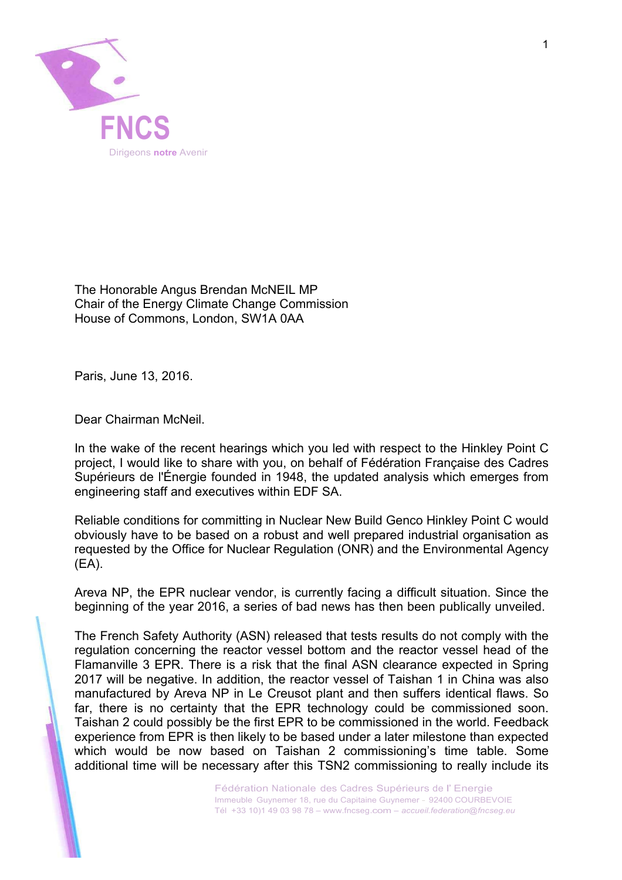

 The Honorable Angus Brendan McNEIL MP Chair of the Energy Climate Change Commission House of Commons, London, SW1A 0AA

Paris, June 13, 2016.

Dear Chairman McNeil.

 In the wake of the recent hearings which you led with respect to the Hinkley Point C project, I would like to share with you, on behalf of Fédération Française des Cadres Supérieurs de l'Énergie founded in 1948, the updated analysis which emerges from engineering staff and executives within EDF SA.

 Reliable conditions for committing in Nuclear New Build Genco Hinkley Point C would obviously have to be based on a robust and well prepared industrial organisation as requested by the Office for Nuclear Regulation (ONR) and the Environmental Agency (EA).

 Areva NP, the EPR nuclear vendor, is currently facing a difficult situation. Since the beginning of the year 2016, a series of bad news has then been publically unveiled.

 The French Safety Authority (ASN) released that tests results do not comply with the regulation concerning the reactor vessel bottom and the reactor vessel head of the Flamanville 3 EPR. There is a risk that the final ASN clearance expected in Spring 2017 will be negative. In addition, the reactor vessel of Taishan 1 in China was also manufactured by Areva NP in Le Creusot plant and then suffers identical flaws. So far, there is no certainty that the EPR technology could be commissioned soon. Taishan 2 could possibly be the first EPR to be commissioned in the world. Feedback experience from EPR is then likely to be based under a later milestone than expected which would be now based on Taishan 2 commissioning's time table. Some additional time will be necessary after this TSN2 commissioning to really include its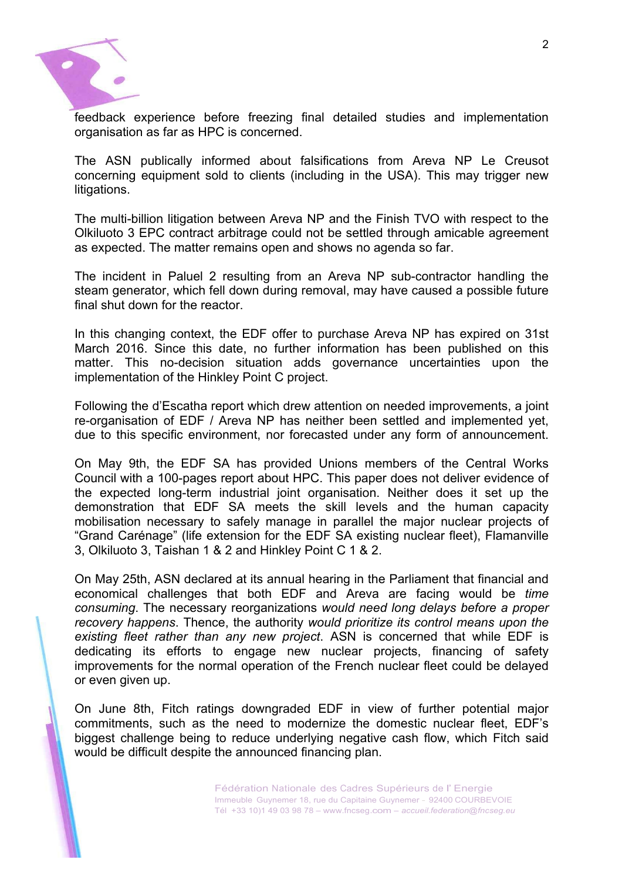

 feedback experience before freezing final detailed studies and implementation organisation as far as HPC is concerned.

 The ASN publically informed about falsifications from Areva NP Le Creusot concerning equipment sold to clients (including in the USA). This may trigger new litigations.

 The multi-billion litigation between Areva NP and the Finish TVO with respect to the Olkiluoto 3 EPC contract arbitrage could not be settled through amicable agreement as expected. The matter remains open and shows no agenda so far.

 The incident in Paluel 2 resulting from an Areva NP sub-contractor handling the steam generator, which fell down during removal, may have caused a possible future final shut down for the reactor.

 In this changing context, the EDF offer to purchase Areva NP has expired on 31st March 2016. Since this date, no further information has been published on this matter. This no-decision situation adds governance uncertainties upon the implementation of the Hinkley Point C project.

 Following the d'Escatha report which drew attention on needed improvements, a joint re-organisation of EDF / Areva NP has neither been settled and implemented yet, due to this specific environment, nor forecasted under any form of announcement.

 On May 9th, the EDF SA has provided Unions members of the Central Works Council with a 100-pages report about HPC. This paper does not deliver evidence of the expected long-term industrial joint organisation. Neither does it set up the demonstration that EDF SA meets the skill levels and the human capacity mobilisation necessary to safely manage in parallel the major nuclear projects of "Grand Carénage" (life extension for the EDF SA existing nuclear fleet), Flamanville 3, Olkiluoto 3, Taishan 1 & 2 and Hinkley Point C 1 & 2.

 On May 25th, ASN declared at its annual hearing in the Parliament that financial and economical challenges that both EDF and Areva are facing would be *time consuming*. The necessary reorganizations *would need long delays before a proper recovery happens*. Thence, the authority *would prioritize its control means upon the existing fleet rather than any new project*. ASN is concerned that while EDF is dedicating its efforts to engage new nuclear projects, financing of safety improvements for the normal operation of the French nuclear fleet could be delayed or even given up.

 On June 8th, Fitch ratings downgraded EDF in view of further potential major commitments, such as the need to modernize the domestic nuclear fleet, EDF's biggest challenge being to reduce underlying negative cash flow, which Fitch said would be difficult despite the announced financing plan.